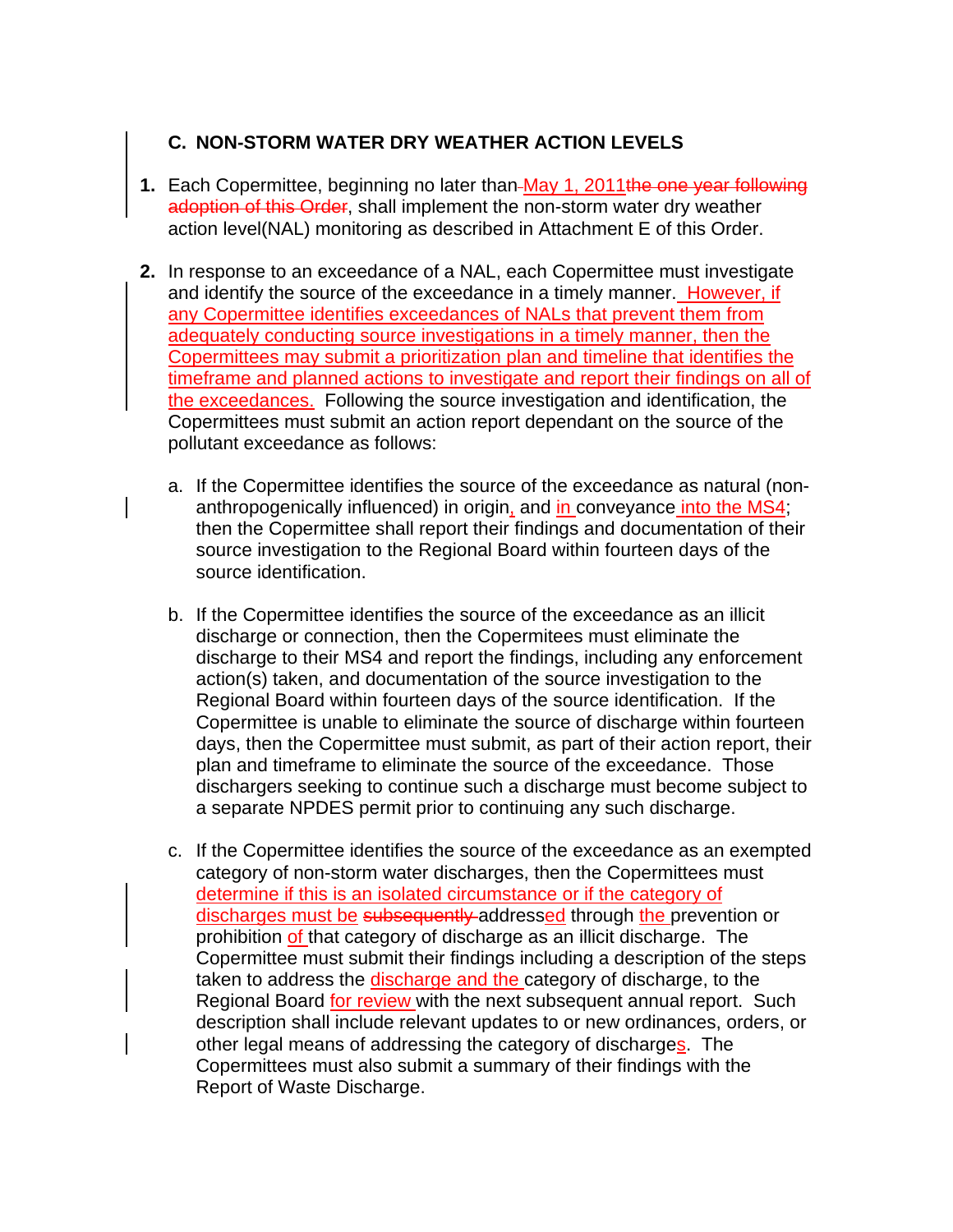## **C. NON-STORM WATER DRY WEATHER ACTION LEVELS**

- **1.** Each Copermittee, beginning no later than-May 1, 2011 the one year following adoption of this Order, shall implement the non-storm water dry weather action level(NAL) monitoring as described in Attachment E of this Order.
- **2.** In response to an exceedance of a NAL, each Copermittee must investigate and identify the source of the exceedance in a timely manner. However, if any Copermittee identifies exceedances of NALs that prevent them from adequately conducting source investigations in a timely manner, then the Copermittees may submit a prioritization plan and timeline that identifies the timeframe and planned actions to investigate and report their findings on all of the exceedances. Following the source investigation and identification, the Copermittees must submit an action report dependant on the source of the pollutant exceedance as follows:
	- a. If the Copermittee identifies the source of the exceedance as natural (nonanthropogenically influenced) in origin, and in conveyance into the MS4; then the Copermittee shall report their findings and documentation of their source investigation to the Regional Board within fourteen days of the source identification.
	- b. If the Copermittee identifies the source of the exceedance as an illicit discharge or connection, then the Copermitees must eliminate the discharge to their MS4 and report the findings, including any enforcement action(s) taken, and documentation of the source investigation to the Regional Board within fourteen days of the source identification. If the Copermittee is unable to eliminate the source of discharge within fourteen days, then the Copermittee must submit, as part of their action report, their plan and timeframe to eliminate the source of the exceedance. Those dischargers seeking to continue such a discharge must become subject to a separate NPDES permit prior to continuing any such discharge.
	- c. If the Copermittee identifies the source of the exceedance as an exempted category of non-storm water discharges, then the Copermittees must determine if this is an isolated circumstance or if the category of discharges must be subsequently addressed through the prevention or prohibition of that category of discharge as an illicit discharge. The Copermittee must submit their findings including a description of the steps taken to address the discharge and the category of discharge, to the Regional Board for review with the next subsequent annual report. Such description shall include relevant updates to or new ordinances, orders, or other legal means of addressing the category of discharges. The Copermittees must also submit a summary of their findings with the Report of Waste Discharge.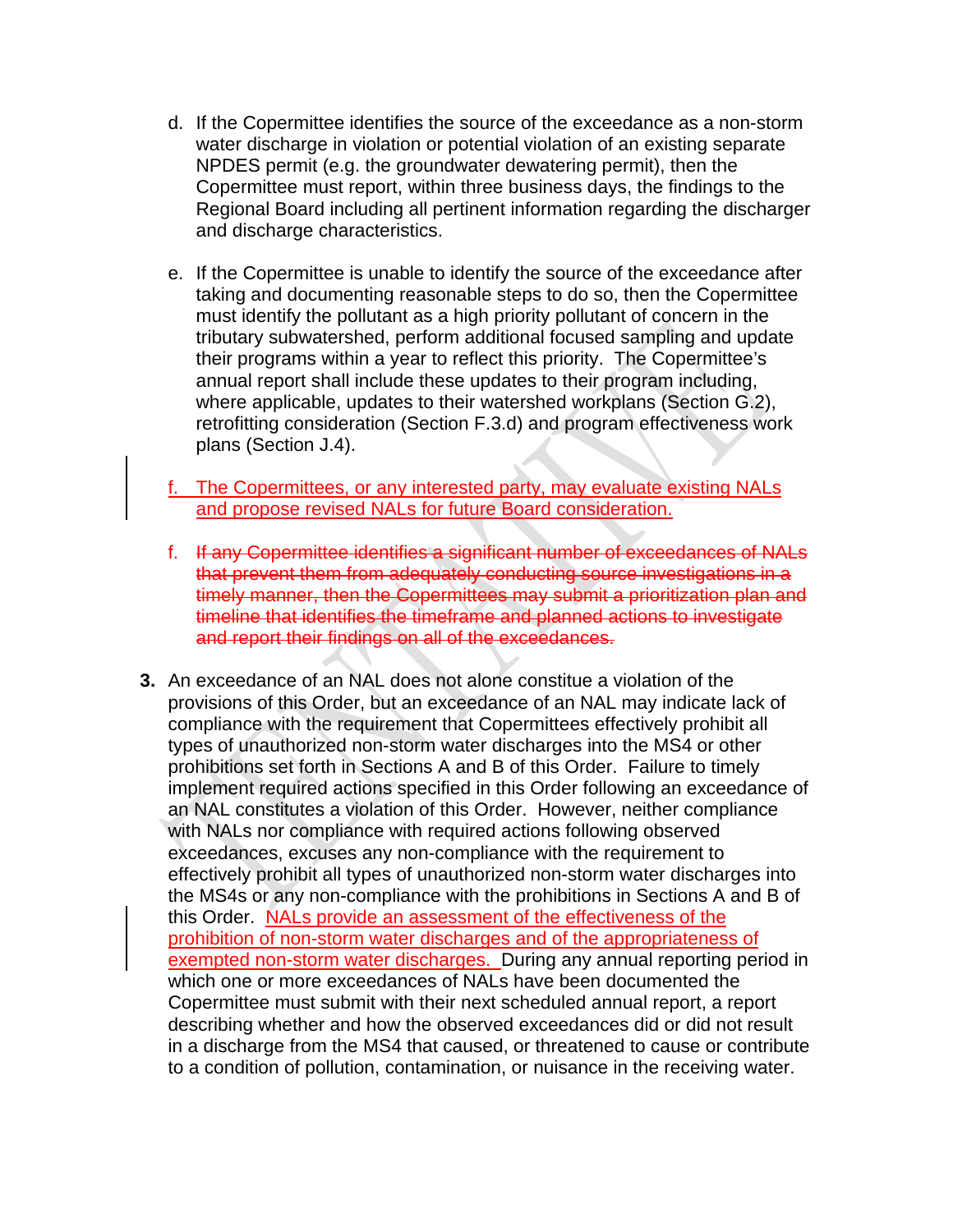- d. If the Copermittee identifies the source of the exceedance as a non-storm water discharge in violation or potential violation of an existing separate NPDES permit (e.g. the groundwater dewatering permit), then the Copermittee must report, within three business days, the findings to the Regional Board including all pertinent information regarding the discharger and discharge characteristics.
- e. If the Copermittee is unable to identify the source of the exceedance after taking and documenting reasonable steps to do so, then the Copermittee must identify the pollutant as a high priority pollutant of concern in the tributary subwatershed, perform additional focused sampling and update their programs within a year to reflect this priority. The Copermittee's annual report shall include these updates to their program including, where applicable, updates to their watershed workplans (Section G.2), retrofitting consideration (Section F.3.d) and program effectiveness work plans (Section J.4).
- f. The Copermittees, or any interested party, may evaluate existing NALs and propose revised NALs for future Board consideration.
- f. If any Copermittee identifies a significant number of exceedances of NALs that prevent them from adequately conducting source investigations in a timely manner, then the Copermittees may submit a prioritization plan and timeline that identifies the timeframe and planned actions to investigate and report their findings on all of the exceedances.
- **3.** An exceedance of an NAL does not alone constitue a violation of the provisions of this Order, but an exceedance of an NAL may indicate lack of compliance with the requirement that Copermittees effectively prohibit all types of unauthorized non-storm water discharges into the MS4 or other prohibitions set forth in Sections A and B of this Order. Failure to timely implement required actions specified in this Order following an exceedance of an NAL constitutes a violation of this Order. However, neither compliance with NALs nor compliance with required actions following observed exceedances, excuses any non-compliance with the requirement to effectively prohibit all types of unauthorized non-storm water discharges into the MS4s or any non-compliance with the prohibitions in Sections A and B of this Order. NALs provide an assessment of the effectiveness of the prohibition of non-storm water discharges and of the appropriateness of exempted non-storm water discharges. During any annual reporting period in which one or more exceedances of NALs have been documented the Copermittee must submit with their next scheduled annual report, a report describing whether and how the observed exceedances did or did not result in a discharge from the MS4 that caused, or threatened to cause or contribute to a condition of pollution, contamination, or nuisance in the receiving water.